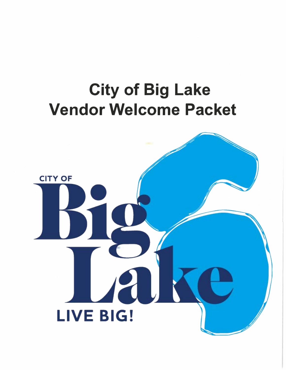# **City of Big Lake Vendor Welcome Packet**

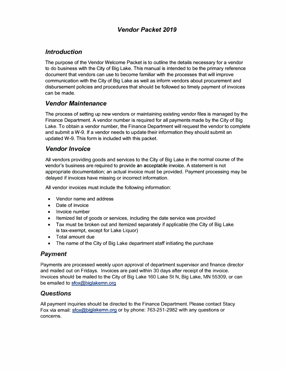# *Vendor Packet 2019*

# *Introduction*

The purpose of the Vendor Welcome Packet is to outline the details necessary for a vendor to do business with the City of Big Lake. This manual is intended to be the primary reference document that vendors can use to become familiar with the processes that will improve communication with the City of Big Lake as well as inform vendors about procurement and disbursement policies and procedures that should be followed so timely payment of invoices can be made.

# *Vendor Maintenance*

The process of setting up new vendors or maintaining existing vendor files is managed by the Finance Department. A vendor number is required for all payments made by the City of Big Lake. To obtain a vendor number, the Finance Department will request the vendor to complete and submit a W-9. If a vendor needs to update their information they should submit an updated W-9. This form is included with this packet.

# *Vendor Invoice*

All vendors providing goods and services to the City of Big Lake in the normal course of the vendor's business are required to provide an acceptable invoice. A statement is not appropriate documentation; an actual invoice must be provided. Payment processing may be delayed if invoices have missing or incorrect information.

All vendor invoices must include the following information:

- •Vendor name and address
- Date of invoice
- Invoice number
- Itemized list of goods or services, including the date service was provided
- $\bullet$  Tax must be broken out and itemized separately if applicable (the City of Big Lake is tax-exempt, except for Lake Liquor)
- •Total amount due
- •The name of the City of Big Lake department staff initiating the purchase

# *Payment*

Payments are processed weekly upon approval of department supervisor and finance director and mailed out on Fridays. Invoices are paid within 30 days after receipt of the invoice. Invoices should be mailed to the City of Big Lake 160 Lake St N, Big Lake, MN 55309, or can be emailed to sfox@biglakemn.org

# *Questions*

All payment inquiries should be directed to the Finance Department. Please contact Stacy Fox via email: sfox@biglakemn.org or by phone: 763-251-2982 with any questions or concerns.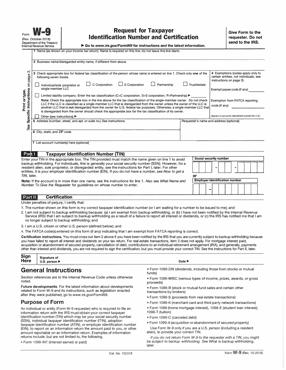# **Request for Taxpayer Identification Number and Certification**

**► Go to** *www.irs.gov/FormW9* **for instructions and the latest information. 1** Name (as shown on your income tax return). Name is required on this line; do not leave this line blank.

|                                                          | r Tranic jas snown on your moonic tax return). I ranic is required on this line, do not leave this line blank.<br>2 Business name/disregarded entity name, if different from above                                                                                                                                                                                                                                                        |                                                                                                         |                                                                    |
|----------------------------------------------------------|-------------------------------------------------------------------------------------------------------------------------------------------------------------------------------------------------------------------------------------------------------------------------------------------------------------------------------------------------------------------------------------------------------------------------------------------|---------------------------------------------------------------------------------------------------------|--------------------------------------------------------------------|
| က်<br>on page<br>Specific Instructions<br>Print or type. | 3 Check appropriate box for federal tax classification of the person whose name is entered on line 1. Check only one of the<br>following seven boxes.<br>$\Box$ C Corporation<br>$\Box$ S Corporation<br>Partnership<br>Individual/sole proprietor or                                                                                                                                                                                     | 4 Exemptions (codes apply only to<br>certain entities, not individuals; see<br>instructions on page 3): |                                                                    |
|                                                          | single-member LLC<br>Limited liability company. Enter the tax classification (C=C corporation, S=S corporation, P=Partnership) ▶<br>Note: Check the appropriate box in the line above for the tax classification of the single-member owner. Do not check<br>LLC if the LLC is classified as a single-member LLC that is disregarded from the owner unless the owner of the LLC is                                                        |                                                                                                         | Exempt payee code (if any)<br>Exemption from FATCA reporting       |
|                                                          | another LLC that is not disregarded from the owner for U.S. federal tax purposes. Otherwise, a single-member LLC that<br>is disregarded from the owner should check the appropriate box for the tax classification of its owner.<br>Other (see instructions) ▶                                                                                                                                                                            |                                                                                                         | code (if any)<br>(Applies to accounts maintained outside the U.S.) |
| See                                                      | 5 Address (number, street, and apt. or suite no.) See instructions.<br>6 City, state, and ZIP code                                                                                                                                                                                                                                                                                                                                        |                                                                                                         | Requester's name and address (optional)                            |
|                                                          | 7 List account number(s) here (optional)                                                                                                                                                                                                                                                                                                                                                                                                  |                                                                                                         |                                                                    |
| │ Part I                                                 | <b>Taxpayer Identification Number (TIN)</b>                                                                                                                                                                                                                                                                                                                                                                                               |                                                                                                         |                                                                    |
| TIN. later.                                              | Enter your TIN in the appropriate box. The TIN provided must match the name given on line 1 to avoid<br>backup withholding. For individuals, this is generally your social security number (SSN). However, for a<br>resident alien, sole proprietor, or disregarded entity, see the instructions for Part I, later. For other<br>entities, it is your employer identification number (EIN). If you do not have a number, see How to get a | or                                                                                                      | Social security number                                             |

**Note:** If the account is in more than one name, see the instructions for line 1. Also see *What Name and Number To Give the Requester* for guidelines on whose number to enter.

| Part II | <b>Certification</b> |
|---------|----------------------|
|---------|----------------------|

Under penalties of perjury, I certify that:

- 1. The number shown on this form is my correct taxpayer identification number (or I am waiting for a number to be issued to me); and
- 2. I am not subject to backup withholding because: (a) I am exempt from backup withholding, or (b) I have not been notified by the Internal Revenue Service (IRS) that I am subject to backup withholding as a result of a failure to report all interest or dividends, or (c) the IRS has notified me that I am no longer subject to backup withholding; and
- 3. I am a U.S. citizen or other U.S. person (defined below); and

4. The FATCA code(s) entered on this form (if any) indicating that I am exempt from FATCA reporting is correct.

**Certification instructions.** You must cross out item 2 above if you have been notified by the IRS that you are currently subject to backup withholding because you have failed to report all interest and dividends on your tax return. For real estate transactions, item 2 does not apply. For mortgage interest paid, acquisition or abandonment of secured property, cancellation of debt, contributions to an individual retirement arrangement (IRA), and generally, payments other than interest and dividends, you are not required to sign the certification, but you must provide your correct TIN. See the instructions for Part 11, later.

| <b>Sign</b><br>Here | Signature of<br>U.S. person $\blacktriangleright$ | Date I |
|---------------------|---------------------------------------------------|--------|
|                     |                                                   |        |

# **General Instructions**

Section references are to the Internal Revenue Code unless otherwise noted.

**Future developments.** For the latest information about developments related to Form W-9 and its instructions, such as legislation enacted after they were published, go to *www.irs.gov/FormW9.* 

## **Purpose of Form**

An individual or entity (Form W-9 requester) who is required to file an information return with the IRS must obtain your correct taxpayer identification number (TIN) which may be your social security number (SSN), individual taxpayer identification number (ITIN), adoption taxpayer identification number (ATIN), or employer identification number (EIN), to report on an information return the amount paid to you, or other amount reportable on an information return. Examples of information returns include, but are not limited to, the following.

• Form 1099-INT (interest earned or paid)

• Form 1099-DIV (dividends, including those from stocks or mutual funds)

• Form 1099-MISC (various types of income, prizes, awards, or gross proceeds)

**Employer identification number** 

• Form 1099-B (stock or mutual fund sales and certain other transactions by brokers)

- Form 1099-S (proceeds from real estate transactions)
- Form 1099-K (merchant card and third party network transactions)

• Form 1098 (home mortgage interest), 1098-E (student loan interest), 1098-T (tuition)

- Form 1099-C (canceled debt)
- Form 1099-A (acquisition or abandonment of secured property)

Use Form W-9 only if you are a U.S. person (including a resident alien), to provide your correct TIN.

*If you do not return Form W-9 to the requester with a TIN, you might be subject to backup withholding.* See What is backup withholding, *later.*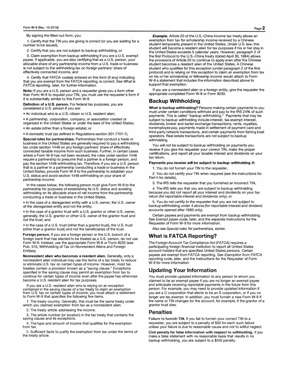By signing the filled-out form, you:

1. Certify that the TIN you are giving is correct (or you are waiting for a number to be issued),

2. Certify that you are not subject to backup withholding, or

3. Claim exemption from backup withholding if you are a U.S. exempt payee. If applicable, you are also certifying that as a U.S. person, your allocable share of any partnership income from a U.S. trade or business is not subject to the withholding tax on foreign partners' share of effectively connected income, and

4. Certify that FATCA code(s) entered on this form (if any) indicating that you are exempt from the FATCA reporting, is correct. See *What* is *FATCA reporting,* later, for further information.

**Note:** If you are a U.S. person and a requester gives you a form other than Form W-9 to request your TIN, you must use the requester's form if it is substantially similar to this Form W-9.

**Definition of a U.S. person.** For federal tax purposes, you are considered a U.S. person if you are:

• An individual who is a U.S. citizen or U.S. resident alien;

• A partnership, corporation, company, or association created or

organized in the United States or under the laws of the United States;

• An estate (other than a foreign estate); or

• **A** domestic trust (as defined in Regulations section 301. 7701 · 7).

**Special rules for partnerships.** Partnerships that conduct a trade or business in the United States are generally required to pay a withholding tax under section 1446 on any foreign partners' share of effectively connected taxable income from such business. Further, in certain cases where a Form W-9 has not been received, the rules under section 1446 require a partnership to presume that a partner is a foreign person, and pay the section 1446 withholding tax. Therefore, if you are a U.S. person that is a partner in a partnership conducting a trade or business in the United States, provide Form W-9 to the partnership to establish your U.S. status and avoid section 1446 withholding on your share of partnership income.

In the cases below, the following person must give Form W-9 to the partnership for purposes of establishing its U.S. status and avoiding withholding on its allocable share of net income from the partnership conducting a trade or business in the United States.

• In the case of a disregarded entity with a U.S. owner, the U.S. owner of the disregarded entity and not the entity;

• In the case of a grantor trust with a U.S. grantor or other U.S. owner, generally, the U.S. grantor or other U.S. owner of the grantor trust and not the trust; and

• In the case of a U.S. trust (other than a grantor trust), the U.S. trust (other than a grantor trust) and not the beneficiaries of the trust.

**Foreign person.** If you are a foreign person or the U.S. branch of a foreign bank that has elected to be treated as a U.S. person, do not use Form W-9. Instead, use the appropriate Form W-8 or Form 8233 (see Pub. 515, Withholding of Tax on Nonresident Aliens and Foreign Entities).

**Nonresident alien who becomes a resident alien.** Generally, only a nonresident alien individual may use the terms of a tax treaty to reduce or eliminate U.S. tax on certain types of income. However, most tax treaties contain a provision known as a "saving clause." Exceptions specified in the saving clause may permit an exemption from tax to continue for certain types of income even after the payee has otherwise become a U.S. resident alien for tax purposes.

If you are a U.S. resident alien who is relying on an exception contained in the saving clause of a tax treaty to claim an exemption from U.S. tax on certain types of income, you must attach a statement to Form W-9 that specifies the following five items.

1. The treaty country. Generally, this must be the same treaty under which you claimed exemption from tax as a nonresident alien.

2. The treaty article addressing the income.

3. The article number (or location) in the tax treaty that contains the saving clause and its exceptions.

4. The type and amount of income that qualifies for the exemption from tax.

5. Sufficient facts to justify the exemption from tax under the terms of the treaty article.

**Example.** Article 20 of the U.S.-China income tax treaty allows an exemption from tax for scholarship income received by a Chinese student temporarily present in the United States. Under U.S. law, this student will become a resident alien for tax purposes if his or her stay in the United States exceeds 5 calendar years. However, paragraph 2 of the first Protocol to the U.S.-China treaty (dated April 30, 1984) allows the provisions of Article 20 to continue to apply even after the Chinese student becomes a resident alien of the United States. A Chinese student who qualifies for this exception (under paragraph 2 of the first protocol) and is relying on this exception to claim an exemption from tax on his or her scholarship or fellowship income would attach to Form W-9 a statement that includes the information described above to support that exemption.

If you are a nonresident alien or a foreign entity, give the requester the appropriate completed Form W-8 or Form 8233.

## **Backup Withholding**

**What is backup withholding?** Persons making certain payments to you must under certain conditions withhold and pay to the IRS 24% of such payments. This is called "backup withholding." Payments that may be subject to backup withholding include interest, tax-exempt interest, dividends, broker and barter exchange transactions, rents, royalties, nonemployee pay, payments made in settlement of payment card and third party network transactions, and certain payments from fishing boat operators. Real estate transactions are not subject to backup withholding.

You will not be subject to backup withholding on payments you receive if you give the requester your correct TIN, make the proper certifications, and report all your taxable interest and dividends on your tax return.

#### **Payments you receive will be subject to backup withholding if:**

1. You do not furnish your TIN to the requester,

2. You do not certify your TIN when required (see the instructions for Part II for details),

3. The IRS tells the requester that you furnished an incorrect TIN,

4. The IRS tells you that you are subject to backup withholding because you did not report all your interest and dividends on your tax return (for reportable interest and dividends only), or

5. You do not certify to the requester that you are not subject to backup withholding under 4 above (for reportable interest and dividend accounts opened after 1983 only).

Certain payees and payments are exempt from backup withholding. See *Exempt payee* code, later, and the separate Instructions for the Requester of Form W-9 for more information.

Also see *Special rules for partnerships,* earlier.

## **What is FATCA Reporting?**

The Foreign Account Tax Compliance Act (FATCA) requires a participating foreign financial institution to report all United States account holders that are specified United States persons. Certain payees are exempt from FATCA reporting. See *Exemption from FATCA reporting code,* later, and the Instructions for the Requester of Form W-9 for more information.

## **Updating Your Information**

You must provide updated information to any person to whom you claimed to be an exempt payee if you are no longer an exempt payee and anticipate receiving reportable payments in the future from this person. For example, you may need to provide updated information if you are a C corporation that elects to be an S corporation, or if you no longer are tax exempt. In addition, you must furnish a new Form W-9 if the name or TIN changes for the account; for example, if the grantor of a grantor trust dies.

### **Penalties**

Failure to furnish **TIN.** If you fail to furnish your correct TIN to a requester, you are subject to a penalty of \$50 for each such failure unless your failure is due to reasonable cause and not to willful neglect.

**Civil penalty for false information with respect to withholding. If** you make a false statement with no reasonable basis that results in no backup withholding, you are subject to a \$500 penalty.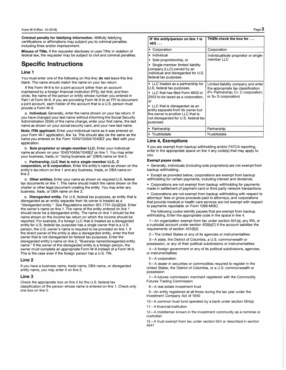**Criminal penalty for falsifying information.** Willfully falsifying certifications or affirmations may subject you to criminal penalties including fines and/or imprisonment.

**Misuse of TINs.** If the requester discloses or uses TINs in violation of federal law, the requester may be subject to civil and criminal penalties.

# **Specific Instructions**

#### **Line 1**

You must enter one of the following on this line; **do not** leave this line blank. The name should match the name on your tax return.

If this Form W-9 is for a joint account (other than an account maintained by a foreign financial institution (FFI)), list first, and then circle, the name of the person or entity whose number you entered in Part I of Form W-9. If you are providing Form W-9 to an FFI to document a joint account, each holder of the account that is a U.S. person must provide a Form W-9.

a. **Individual.** Generally, enter the name shown on your tax return. If you have changed your last name without informing the Social Security Administration (SSA) of the name change, enter your first name, the last name as shown on your social security card, and your new last name.

**Note: ITIN applicant:** Enter your individual name as it was entered on your Form W-7 application, line 1a. This should also be the same as the name you entered on the Form 1040/1040A/1040EZ you filed with your application.

b. **Sole proprietor or single-member LLC.** Enter your individual name as shown on your 1040/1040A/1040EZ on line **1.** You may enter your business, trade, or "doing business as" (DBA) name on line 2.

c. **Partnership, LLC that is not a single-member LLC, C corporation, or S corporation.** Enter the entity's name as shown on the entity's tax return on line 1 and any business, trade, or DBA name on line 2

d. **Other entities.** Enter your name as shown on required U.S. federal tax documents on line 1. This name should match the name shown on the charter or other legal document creating the entity. You may enter any business, trade, or DBA name on line 2.

e. **Disregarded entity.** For U.S. federal tax purposes, an entity that is disregarded as an entity separate from its owner is treated as a "disregarded entity." See Regulations section 301.7701-2(c)(2)(iii). Enter the owner's name on line 1. The name of the entity entered on line 1 should never be a disregarded entity. The name on line 1 should be the name shown on the income tax return on which the income should be reported. For example, if a foreign LLC that is treated as a disregarded entity for U.S. federal tax purposes has a single owner that is a U.S. person, the U.S. owner's name is required to be provided on line 1. If the direct owner of the entity is also a disregarded entity, enter the first owner that is not disregarded for federal tax purposes. Enter the disregarded entity's name on line 2, "Business name/disregarded entity name." If the owner of the disregarded entity is a foreign person, the owner must complete an appropriate Form W-8 instead of a Form W-9. This is the case even if the foreign person has a U.S. TIN.

#### **Line 2**

If you have a business name, trade name, DBA name, or disregarded entity name, you may enter it on line 2.

#### **Line 3**

Check the appropriate box on line 3 for the U.S. federal tax classification of the person whose name is entered on line 1. Check only one box on line 3.

| IF the entity/person on line 1 is<br>$a(n) \ldots$                                                                                                                                                                                                                                                                  | THEN check the box for                                                                                                                      |
|---------------------------------------------------------------------------------------------------------------------------------------------------------------------------------------------------------------------------------------------------------------------------------------------------------------------|---------------------------------------------------------------------------------------------------------------------------------------------|
| • Corporation                                                                                                                                                                                                                                                                                                       | Corporation                                                                                                                                 |
| • Individual<br>Sole proprietorship, or<br>Single-member limited liability<br>company (LLC) owned by an<br>individual and disregarded for U.S.<br>federal tax purposes.                                                                                                                                             | Individual/sole proprietor or single-<br>member LLC                                                                                         |
| • LLC treated as a partnership for<br>U.S. federal tax purposes,<br>• LLC that has filed Form 8832 or<br>2553 to be taxed as a corporation,<br>or<br>• LLC that is disregarded as an<br>entity separate from its owner but<br>the owner is another LLC that is<br>not disregarded for U.S. federal tax<br>purposes. | Limited liability company and enter<br>the appropriate tax classification.<br>(P= Partnership; C= C corporation;<br>or $S = S$ corporation) |
| • Partnership                                                                                                                                                                                                                                                                                                       | Partnership                                                                                                                                 |
| • Trust/estate                                                                                                                                                                                                                                                                                                      | Trust/estate                                                                                                                                |

#### **Line 4, Exemptions**

If you are exempt from backup withholding and/or FATCA reporting, enter in the appropriate space on line 4 any code(s) that may apply to you.

#### **Exempt payee code.**

• Generally, individuals (including sole proprietors) are not exempt from backup withholding.

Except as provided below, corporations are exempt from backup withholding for certain payments, including interest and dividends.

• Corporations are not exempt from backup withholding for payments made in settlement of payment card or third party network transactions.

• Corporations are not exempt from backup withholding with respect to attorneys' fees or gross proceeds paid to attorneys, and corporations that provide medical or health care services are not exempt with respect to payments reportable on Form 1099-MISC.

The following codes identify payees that are exempt from backup withholding. Enter the appropriate code in the space in line 4.

1-An organization exempt from tax under section 501(a), any IRA, or a custodial account under section 403(b)(7) if the account satisfies the requirements of section 401(f)(2)

- The United States or any of its agencies or instrumentalities

3-A state, the District of Columbia, a U.S. commonwealth or possession, or any of their political subdivisions or instrumentalities

4-A foreign government or any of its political subdivisions, agencies, or instrumentalities

#### 5-A corporation

6-A dealer in securities or commodities required to register in the United States, the District of Columbia, or a U.S. commonwealth or possession

7-A futures commission merchant registered with the Commodity Futures Trading Commission

8-A real estate investment trust

9-An entity registered at all times during the tax year under the Investment Company Act of 1940

10-A common trust fund operated by a bank under section 584(a) 11-A financial institution

12-A middleman known in the investment community as a nominee or custodian

13-A trust exempt from tax under section 664 or described in section 4947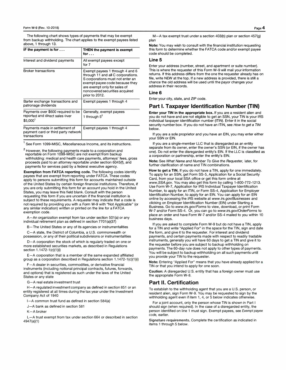The following chart shows types of payments that may be exempt from backup withholding. The chart applies to the exempt payees listed above, 1 through 13.

| IF the payment is for $\dots$                                                                | THEN the payment is exempt<br>for $\dots$                                                                                                                                                                                       |
|----------------------------------------------------------------------------------------------|---------------------------------------------------------------------------------------------------------------------------------------------------------------------------------------------------------------------------------|
| Interest and dividend payments                                                               | All exempt payees except<br>for 7                                                                                                                                                                                               |
| <b>Broker transactions</b>                                                                   | Exempt payees 1 through 4 and 6<br>through 11 and all C corporations.<br>S corporations must not enter an<br>exempt payee code because they<br>are exempt only for sales of<br>noncovered securities acquired<br>prior to 2012. |
| Barter exchange transactions and<br>patronage dividends                                      | Exempt payees 1 through 4                                                                                                                                                                                                       |
| Payments over \$600 required to be<br>reported and direct sales over<br>\$5,000 <sup>1</sup> | Generally, exempt payees<br>1 through $5^2$                                                                                                                                                                                     |
| Payments made in settlement of<br>payment card or third party network<br>transactions        | Exempt payees 1 through 4                                                                                                                                                                                                       |

<sup>1</sup> See Form 1099-MISC, Miscellaneous Income, and its instructions.

<sup>2</sup> However, the following payments made to a corporation and<br>reportable on Form 1099-MISC are not exempt from backup withholding: medical and health care payments, attorneys' fees, gross proceeds paid to an attorney reportable under section 6045(f), and payments for services paid by a federal executive agency.

**Exemption from FATCA reporting code.** The following codes identify payees that are exempt from reporting under FATCA. These codes apply to persons submitting this form for accounts maintained outside of the United States by certain foreign financial institutions. Therefore, if you are only submitting this form for an account you hold in the United States, you may leave this field blank. Consult with the person requesting this form if you are uncertain if the financial institution is subject to these requirements. A requester may indicate that a code is not required by providing you with a Form W-9 with "Not Applicable" (or any similar indication) written or printed on the line for a FATCA exemption code.

A-An organization exempt from tax under section 501(a) or any individual retirement plan as defined in section 7701 (a)(37)

B-The United States or any of its agencies or instrumentalities

C-A state, the District of Columbia, a U.S. commonwealth or possession, or any of their political subdivisions or instrumentalities

D-A corporation the stock of which is regularly traded on one or more established securities markets, as described in Regulations section 1.1472-1(c)(1)(i)

E-A corporation that is a member of the same expanded affiliated group as a corporation described in Regulations section 1.1472-1(c)(1)(i)

F-A dealer in securities, commodities, or derivative financial instruments (including notional principal contracts, futures, forwards, and options) that is registered as such under the laws of the United States or any state

G-A real estate investment trust

H-A regulated investment company as defined in section 851 or an entity registered at all times during the tax year under the Investment Company Act of 1940

I-A common trust fund as defined in section 584(a)

J-A bank as defined in section 581

K-A broker

L-A trust exempt from tax under section 664 or described in section 4947(a)(1)

M-A tax exempt trust under a section 403(b) plan or section 457(g) plan

**Note:** You may wish to consult with the financial institution requesting this form to determine whether the FATCA code and/or exempt payee code should be completed.

#### **Line 5**

Enter your address (number, street, and apartment or suite number). This is where the requester of this Form W-9 will mail your information returns. If this address differs from the one the requester already has on file, write NEW at the top. If a new address is provided, there is still a chance the old address will be used until the payor changes your address in their records.

## **Line6**

Enter your city, state, and ZIP code.

### **Part I. Taxpayer Identification Number (TIN)**

**Enter your TIN in the appropriate box.** If you are a resident alien and you do not have and are not eligible to get an SSN, your TIN is your IRS individual taxpayer identification number (ITIN). Enter it in the social security number box. If you do not have an ITIN, see *How to get* a *TIN* below.

If you are a sole proprietor and you have an EIN, you may enter either your SSN or EIN.

If you are a single-member LLC that is disregarded as an entity separate from its owner, enter the owner's SSN (or EIN, if the owner has one). Do not enter the disregarded entity's EIN. If the LLC is classified as a corporation or partnership, enter the entity's EIN.

**Note:** See *What* Name *and Number To Give the Requester,* later, for further clarification of name and TIN combinations.

**How to get a TIN.** If you do not have a TIN, apply for one immediately. To apply for an SSN, get Form SS-5, Application for a Social Security Card, from your local SSA office or get this form online **at** *www.SSA.gov.* You may also get this form by calling 1-800-772-1213. Use Form W-7, Application for IRS Individual Taxpayer Identification Number, to apply for an ITIN, or Form SS-4, Application for Employer Identification Number, to apply for an EIN. You can apply for an EIN online by accessing the IRS website at *www.irs.gov/Businesses* and clicking on Employer Identification Number (EIN) under Starting a Business. Go to *www.irs.gov/Forms* to view, download, or print Form W-7 and/or Form SS-4. Or, you can go to *www.irs.gov/OrderForms* to place an order and have Form W-7 and/or SS-4 mailed to you within 10 business days.

If you are asked to complete Form W-9 but do not have a TIN, apply for a TIN and write "Applied For" in the space for the TIN, sign and date the form, and give it to the requester. For interest and dividend payments, and certain payments made with respect to readily tradable instruments, generally you will have 60 days to get a TIN and give it to the requester before you are subject to backup withholding on payments. The 60-day rule does not apply to other types of payments. You will be subject to backup withholding on all such payments until you provide your TIN to the requester.

**Note:** Entering "Applied For" means that you have already applied for a TIN or that you intend to apply for one soon.

**Caution:** A disregarded U.S. entity that has a foreign owner must use the appropriate Form W-8.

## **Part II. Certification**

To establish to the withholding agent that you are a U.S. person, or resident alien, sign Form W-9. You may be requested to sign by the withholding agent even if item 1, 4, or 5 below indicates otherwise.

For a joint account, only the person whose TIN is shown in Part I should sign (when required). In the case of a disregarded entity, the person identified on line 1 must sign. Exempt payees, see *Exempt payee code,* earlier.

Signature requirements. Complete the certification as indicated in items 1 through 5 below.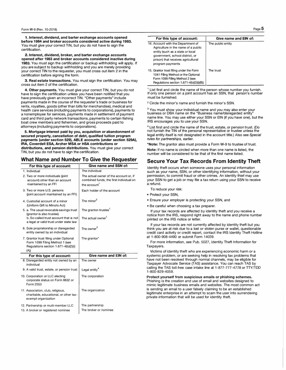**1. Interest, dividend, and barter exchange accounts opened before 1984 and broker accounts considered active during 1983.**  You must give your correct TIN, but you do not have to sign the certification.

**2. Interest, dividend, broker, and barter exchange accounts opened after 1983 and broker accounts considered inactive during 1983.** You must sign the certification or backup withholding will apply. If you are subject to backup withholding and you are merely providing your correct TIN to the requester, you must cross out item 2 in the certification before signing the form.

**3. Real estate transactions.** You must sign the certification. You may cross out item 2 of the certification.

**4. Other payments.** You must give your correct TIN, but you do not have to sign the certification unless you have been notified that you have previously given an incorrect TIN. "Other payments" include payments made in the course of the requester's trade or business for rents, royalties, goods (other than bills for merchandise), medical and health care services (including payments to corporations), payments to a nonemployee for services, payments made in settlement of payment card and third party network transactions, payments to certain fishing boat crew members and fishermen, and gross proceeds paid to attorneys (including payments to corporations).

**5. Mortgage interest paid by you, acquisition or abandonment of secured property, cancellation of debt, qualified tuition program payments (under section 529), ABLE accounts (under section 529A), IRA, Coverdell ESA, Archer MSA or HSA contributions or distributions, and pension distributions.** You must give your correct TIN, but you do not have to sign the certification.

## **What Name and Number To Give the Requester**

| For this type of account:                                                                                                | Give name and SSN of:                                                             |
|--------------------------------------------------------------------------------------------------------------------------|-----------------------------------------------------------------------------------|
| 1. Individual                                                                                                            | The individual                                                                    |
| 2. Two or more individuals (joint<br>account) other than an account                                                      | The actual owner of the account or, if<br>combined funds, the first individual on |
| maintained by an FFI                                                                                                     | the account                                                                       |
| 3. Two or more U.S. persons<br>(joint account maintained by an FFI)                                                      | Each holder of the account                                                        |
| 4. Custodial account of a minor<br>(Uniform Gift to Minors Act)                                                          | The minor <sup>2</sup>                                                            |
| 5. a. The usual revocable savings trust<br>(grantor is also trustee)                                                     | The grantor-trustee                                                               |
| b. So-called trust account that is not<br>a legal or valid trust under state law                                         | The actual owner                                                                  |
| 6. Sole proprietorship or disregarded<br>entity owned by an individual                                                   | The owner <sup>3</sup>                                                            |
| 7. Grantor trust filing under Optional<br>Form 1099 Filing Method 1 (see<br>Regulations section 1.671-4(b)(2)(i)<br>(A)) | The grantor*                                                                      |
| For this type of account:                                                                                                | Give name and EIN of:                                                             |
| 8. Disregarded entity not owned by an<br>individual                                                                      | The owner                                                                         |
| 9. A valid trust, estate, or pension trust                                                                               | Legal entity <sup>4</sup>                                                         |
| 10. Corporation or LLC electing<br>corporate status on Form 8832 or<br>Form 2553                                         | The corporation                                                                   |
| 11. Association, club, religious,<br>charitable, educational, or other tax-<br>exempt organization                       | The organization                                                                  |
| 12. Partnership or multi-member LLC                                                                                      | The partnership                                                                   |
| 13. A broker or registered nominee                                                                                       | The broker or nominee                                                             |

| For this type of account:                                                                                                                                                                                  | Give name and EIN of: |
|------------------------------------------------------------------------------------------------------------------------------------------------------------------------------------------------------------|-----------------------|
| 14. Account with the Department of<br>Agriculture in the name of a public<br>entity (such as a state or local<br>government, school district, or<br>prison) that receives agricultural<br>program payments | The public entity     |
| 15. Grantor trust filing under the Form<br>1041 Filing Method or the Optional<br>Form 1099 Filing Method 2 (see<br>Regulations section 1.671-4(b)(2)(i)(B))                                                | The trust             |

**<sup>1</sup>**List first and circle the name of the person whose number you furnish. If only one person on a joint account has an SSN, that person's number must be furnished.

<sup>2</sup> Circle the minor's name and furnish the minor's SSN.

**<sup>3</sup>**You must show your individual name and you may also enter your business or OBA name on the "Business name/disregarded entity" name line. You may use either your SSN or EIN (if you have one), but the IRS encourages you to use your SSN.

**<sup>4</sup>**List first and circle the name of the trust, estate, or pension trust. (Do not furnish the TIN of the personal representative or trustee unless the legal entity itself is not designated in the account title.) Also see *Special rules for partnerships,* earlier.

\*Note: The grantor also must provide a Form W-9 to trustee of trust. **Note:** If no name is circled when more than one name is listed, the number will be considered to be that of the first name listed.

## **Secure Your Tax Records From Identity Theft**

Identity theft occurs when someone uses your personal information such as your name, SSN, or other identifying information, without your permission, to commit fraud or other crimes. An identity thief may use your SSN to get a job or may file a tax return using your SSN to receive a refund.

To reduce your risk:

- Protect your SSN,
- Ensure your employer is protecting your SSN, and
- Be careful when choosing a tax preparer.

If your tax records are affected by identity theft and you receive a notice from the IRS, respond right away to the name and phone number printed on the IRS notice or letter.

If your tax records are not currently affected by identity theft but you think you are at risk due to a lost or stolen purse or wallet, questionable credit card activity or credit report, contact the IRS Identity Theft Hotline at 1-800-908-4490 or submit Form 14039.

For more information, see Pub. 5027, Identity Theft Information for Taxpayers.

Victims of identity theft who are experiencing economic harm or a systemic problem, or are seeking help in resolving tax problems that have not been resolved through normal channels, may be eligible for Taxpayer Advocate Service (TAS) assistance. You can reach TAS by calling the TAS toll-free case intake line at 1-877-777-4778 or TTY/TDD 1-800-829-4059.

**Protect yourself from suspicious emails or phishing schemes.**  Phishing is the creation and use of email and websites designed to mimic legitimate business emails and websites. The most common act is sending an email to a user falsely claiming to be an established legitimate enterprise in an attempt to scam the user into surrendering private information that will be used for identity theft.

Page 5